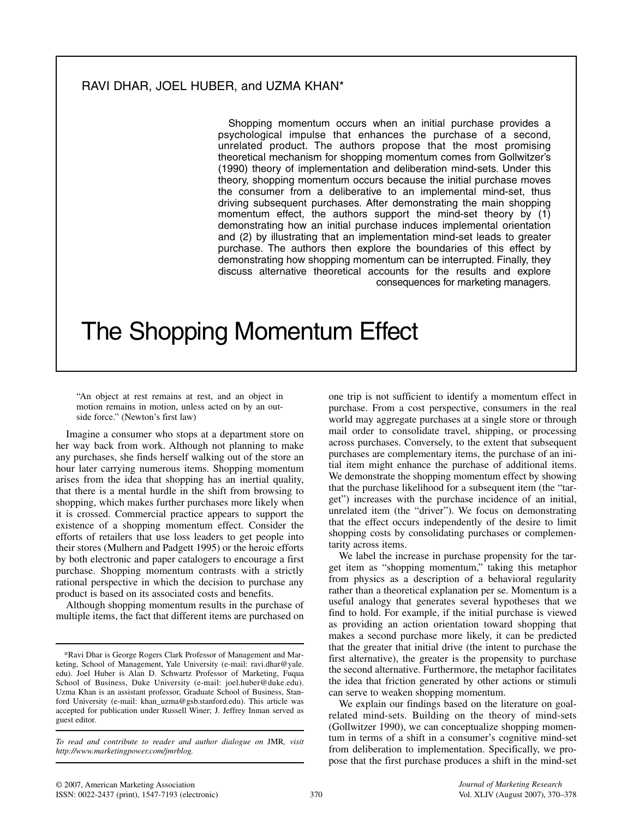## RAVI DHAR, JOEL HUBER, and UZMA KHAN\*

Shopping momentum occurs when an initial purchase provides a psychological impulse that enhances the purchase of a second, unrelated product. The authors propose that the most promising theoretical mechanism for shopping momentum comes from Gollwitzer's (1990) theory of implementation and deliberation mind-sets. Under this theory, shopping momentum occurs because the initial purchase moves the consumer from a deliberative to an implemental mind-set, thus driving subsequent purchases. After demonstrating the main shopping momentum effect, the authors support the mind-set theory by (1) demonstrating how an initial purchase induces implemental orientation and (2) by illustrating that an implementation mind-set leads to greater purchase. The authors then explore the boundaries of this effect by demonstrating how shopping momentum can be interrupted. Finally, they discuss alternative theoretical accounts for the results and explore consequences for marketing managers.

# The Shopping Momentum Effect

"An object at rest remains at rest, and an object in motion remains in motion, unless acted on by an outside force." (Newton's first law)

Imagine a consumer who stops at a department store on her way back from work. Although not planning to make any purchases, she finds herself walking out of the store an hour later carrying numerous items. Shopping momentum arises from the idea that shopping has an inertial quality, that there is a mental hurdle in the shift from browsing to shopping, which makes further purchases more likely when it is crossed. Commercial practice appears to support the existence of a shopping momentum effect. Consider the efforts of retailers that use loss leaders to get people into their stores (Mulhern and Padgett 1995) or the heroic efforts by both electronic and paper catalogers to encourage a first purchase. Shopping momentum contrasts with a strictly rational perspective in which the decision to purchase any product is based on its associated costs and benefits.

Although shopping momentum results in the purchase of multiple items, the fact that different items are purchased on

one trip is not sufficient to identify a momentum effect in purchase. From a cost perspective, consumers in the real world may aggregate purchases at a single store or through mail order to consolidate travel, shipping, or processing across purchases. Conversely, to the extent that subsequent purchases are complementary items, the purchase of an initial item might enhance the purchase of additional items. We demonstrate the shopping momentum effect by showing that the purchase likelihood for a subsequent item (the "target") increases with the purchase incidence of an initial, unrelated item (the "driver"). We focus on demonstrating that the effect occurs independently of the desire to limit shopping costs by consolidating purchases or complementarity across items.

We label the increase in purchase propensity for the target item as "shopping momentum," taking this metaphor from physics as a description of a behavioral regularity rather than a theoretical explanation per se. Momentum is a useful analogy that generates several hypotheses that we find to hold. For example, if the initial purchase is viewed as providing an action orientation toward shopping that makes a second purchase more likely, it can be predicted that the greater that initial drive (the intent to purchase the first alternative), the greater is the propensity to purchase the second alternative. Furthermore, the metaphor facilitates the idea that friction generated by other actions or stimuli can serve to weaken shopping momentum.

We explain our findings based on the literature on goalrelated mind-sets. Building on the theory of mind-sets (Gollwitzer 1990), we can conceptualize shopping momentum in terms of a shift in a consumer's cognitive mind-set from deliberation to implementation. Specifically, we propose that the first purchase produces a shift in the mind-set

<sup>\*</sup>Ravi Dhar is George Rogers Clark Professor of Management and Marketing, School of Management, Yale University (e-mail: ravi.dhar@yale. edu). Joel Huber is Alan D. Schwartz Professor of Marketing, Fuqua School of Business, Duke University (e-mail: joel.huber@duke.edu). Uzma Khan is an assistant professor, Graduate School of Business, Stanford University (e-mail: khan\_uzma@gsb.stanford.edu). This article was accepted for publication under Russell Winer; J. Jeffrey Inman served as guest editor.

*To read and contribute to reader and author dialogue on* JMR*, visit http://www.marketingpower.com/jmrblog.*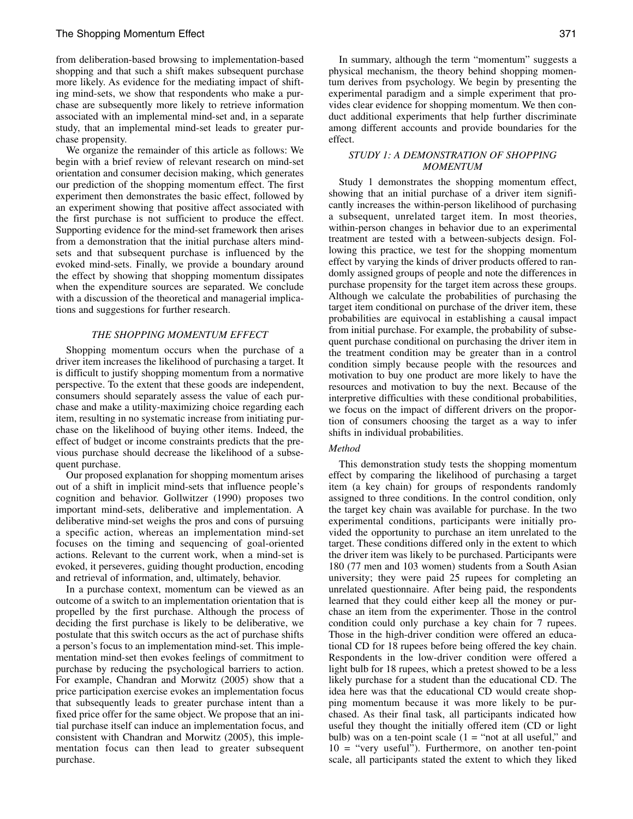## The Shopping Momentum Effect 371

from deliberation-based browsing to implementation-based shopping and that such a shift makes subsequent purchase more likely. As evidence for the mediating impact of shifting mind-sets, we show that respondents who make a purchase are subsequently more likely to retrieve information associated with an implemental mind-set and, in a separate study, that an implemental mind-set leads to greater purchase propensity.

We organize the remainder of this article as follows: We begin with a brief review of relevant research on mind-set orientation and consumer decision making, which generates our prediction of the shopping momentum effect. The first experiment then demonstrates the basic effect, followed by an experiment showing that positive affect associated with the first purchase is not sufficient to produce the effect. Supporting evidence for the mind-set framework then arises from a demonstration that the initial purchase alters mindsets and that subsequent purchase is influenced by the evoked mind-sets. Finally, we provide a boundary around the effect by showing that shopping momentum dissipates when the expenditure sources are separated. We conclude with a discussion of the theoretical and managerial implications and suggestions for further research.

#### *THE SHOPPING MOMENTUM EFFECT*

Shopping momentum occurs when the purchase of a driver item increases the likelihood of purchasing a target. It is difficult to justify shopping momentum from a normative perspective. To the extent that these goods are independent, consumers should separately assess the value of each purchase and make a utility-maximizing choice regarding each item, resulting in no systematic increase from initiating purchase on the likelihood of buying other items. Indeed, the effect of budget or income constraints predicts that the previous purchase should decrease the likelihood of a subsequent purchase.

Our proposed explanation for shopping momentum arises out of a shift in implicit mind-sets that influence people's cognition and behavior. Gollwitzer (1990) proposes two important mind-sets, deliberative and implementation. A deliberative mind-set weighs the pros and cons of pursuing a specific action, whereas an implementation mind-set focuses on the timing and sequencing of goal-oriented actions. Relevant to the current work, when a mind-set is evoked, it perseveres, guiding thought production, encoding and retrieval of information, and, ultimately, behavior.

In a purchase context, momentum can be viewed as an outcome of a switch to an implementation orientation that is propelled by the first purchase. Although the process of deciding the first purchase is likely to be deliberative, we postulate that this switch occurs as the act of purchase shifts a person's focus to an implementation mind-set. This implementation mind-set then evokes feelings of commitment to purchase by reducing the psychological barriers to action. For example, Chandran and Morwitz (2005) show that a price participation exercise evokes an implementation focus that subsequently leads to greater purchase intent than a fixed price offer for the same object. We propose that an initial purchase itself can induce an implementation focus, and consistent with Chandran and Morwitz (2005), this implementation focus can then lead to greater subsequent purchase.

In summary, although the term "momentum" suggests a physical mechanism, the theory behind shopping momentum derives from psychology. We begin by presenting the experimental paradigm and a simple experiment that provides clear evidence for shopping momentum. We then conduct additional experiments that help further discriminate among different accounts and provide boundaries for the effect.

## *STUDY 1: A DEMONSTRATION OF SHOPPING MOMENTUM*

Study 1 demonstrates the shopping momentum effect, showing that an initial purchase of a driver item significantly increases the within-person likelihood of purchasing a subsequent, unrelated target item. In most theories, within-person changes in behavior due to an experimental treatment are tested with a between-subjects design. Following this practice, we test for the shopping momentum effect by varying the kinds of driver products offered to randomly assigned groups of people and note the differences in purchase propensity for the target item across these groups. Although we calculate the probabilities of purchasing the target item conditional on purchase of the driver item, these probabilities are equivocal in establishing a causal impact from initial purchase. For example, the probability of subsequent purchase conditional on purchasing the driver item in the treatment condition may be greater than in a control condition simply because people with the resources and motivation to buy one product are more likely to have the resources and motivation to buy the next. Because of the interpretive difficulties with these conditional probabilities, we focus on the impact of different drivers on the proportion of consumers choosing the target as a way to infer shifts in individual probabilities.

#### *Method*

This demonstration study tests the shopping momentum effect by comparing the likelihood of purchasing a target item (a key chain) for groups of respondents randomly assigned to three conditions. In the control condition, only the target key chain was available for purchase. In the two experimental conditions, participants were initially provided the opportunity to purchase an item unrelated to the target. These conditions differed only in the extent to which the driver item was likely to be purchased. Participants were 180 (77 men and 103 women) students from a South Asian university; they were paid 25 rupees for completing an unrelated questionnaire. After being paid, the respondents learned that they could either keep all the money or purchase an item from the experimenter. Those in the control condition could only purchase a key chain for 7 rupees. Those in the high-driver condition were offered an educational CD for 18 rupees before being offered the key chain. Respondents in the low-driver condition were offered a light bulb for 18 rupees, which a pretest showed to be a less likely purchase for a student than the educational CD. The idea here was that the educational CD would create shopping momentum because it was more likely to be purchased. As their final task, all participants indicated how useful they thought the initially offered item (CD or light bulb) was on a ten-point scale  $(1 = "not at all useful," and)$  $10 =$  "very useful"). Furthermore, on another ten-point scale, all participants stated the extent to which they liked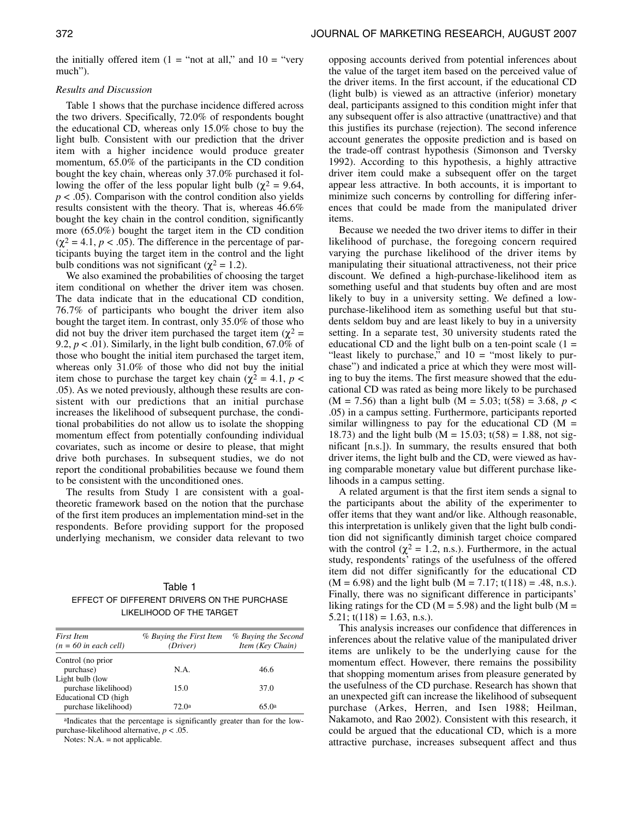the initially offered item  $(1 = "not at all," and 10 = "very$ much").

## *Results and Discussion*

Table 1 shows that the purchase incidence differed across the two drivers. Specifically, 72.0% of respondents bought the educational CD, whereas only 15.0% chose to buy the light bulb. Consistent with our prediction that the driver item with a higher incidence would produce greater momentum, 65.0% of the participants in the CD condition bought the key chain, whereas only 37.0% purchased it following the offer of the less popular light bulb ( $\chi^2$  = 9.64,  $p < .05$ ). Comparison with the control condition also yields results consistent with the theory. That is, whereas 46.6% bought the key chain in the control condition, significantly more (65.0%) bought the target item in the CD condition  $(\chi^2 = 4.1, p < .05)$ . The difference in the percentage of participants buying the target item in the control and the light bulb conditions was not significant ( $χ² = 1.2$ ).

We also examined the probabilities of choosing the target item conditional on whether the driver item was chosen. The data indicate that in the educational CD condition, 76.7% of participants who bought the driver item also bought the target item. In contrast, only 35.0% of those who did not buy the driver item purchased the target item ( $χ² =$ 9.2,  $p < .01$ ). Similarly, in the light bulb condition, 67.0% of those who bought the initial item purchased the target item, whereas only 31.0% of those who did not buy the initial item chose to purchase the target key chain ( $\chi^2 = 4.1$ ,  $p <$ .05). As we noted previously, although these results are consistent with our predictions that an initial purchase increases the likelihood of subsequent purchase, the conditional probabilities do not allow us to isolate the shopping momentum effect from potentially confounding individual covariates, such as income or desire to please, that might drive both purchases. In subsequent studies, we do not report the conditional probabilities because we found them to be consistent with the unconditioned ones.

The results from Study 1 are consistent with a goaltheoretic framework based on the notion that the purchase of the first item produces an implementation mind-set in the respondents. Before providing support for the proposed underlying mechanism, we consider data relevant to two

## Table 1 EFFECT OF DIFFERENT DRIVERS ON THE PURCHASE LIKELIHOOD OF THE TARGET

| First Item<br>$(n = 60$ in each cell) | % Buying the First Item<br>(Driver) | % Buying the Second<br>Item (Key Chain) |  |
|---------------------------------------|-------------------------------------|-----------------------------------------|--|
| Control (no prior                     |                                     |                                         |  |
| purchase)                             | N.A.                                | 46.6                                    |  |
| Light bulb (low                       |                                     |                                         |  |
| purchase likelihood)                  | 15.0                                | 37.0                                    |  |
| Educational CD (high                  |                                     |                                         |  |
| purchase likelihood)                  | 72. Oa                              | 65.0a                                   |  |

aIndicates that the percentage is significantly greater than for the lowpurchase-likelihood alternative, *p* < .05.

Notes: N.A. = not applicable.

opposing accounts derived from potential inferences about the value of the target item based on the perceived value of the driver items. In the first account, if the educational CD (light bulb) is viewed as an attractive (inferior) monetary deal, participants assigned to this condition might infer that any subsequent offer is also attractive (unattractive) and that this justifies its purchase (rejection). The second inference account generates the opposite prediction and is based on the trade-off contrast hypothesis (Simonson and Tversky 1992). According to this hypothesis, a highly attractive driver item could make a subsequent offer on the target appear less attractive. In both accounts, it is important to minimize such concerns by controlling for differing inferences that could be made from the manipulated driver items.

Because we needed the two driver items to differ in their likelihood of purchase, the foregoing concern required varying the purchase likelihood of the driver items by manipulating their situational attractiveness, not their price discount. We defined a high-purchase-likelihood item as something useful and that students buy often and are most likely to buy in a university setting. We defined a lowpurchase-likelihood item as something useful but that students seldom buy and are least likely to buy in a university setting. In a separate test, 30 university students rated the educational CD and the light bulb on a ten-point scale  $(1 =$ "least likely to purchase," and  $10 =$  "most likely to purchase") and indicated a price at which they were most willing to buy the items. The first measure showed that the educational CD was rated as being more likely to be purchased  $(M = 7.56)$  than a light bulb  $(M = 5.03; t(58) = 3.68, p <$ .05) in a campus setting. Furthermore, participants reported similar willingness to pay for the educational CD  $(M =$ 18.73) and the light bulb ( $M = 15.03$ ; t(58) = 1.88, not significant [n.s.]). In summary, the results ensured that both driver items, the light bulb and the CD, were viewed as having comparable monetary value but different purchase likelihoods in a campus setting.

A related argument is that the first item sends a signal to the participants about the ability of the experimenter to offer items that they want and/or like. Although reasonable, this interpretation is unlikely given that the light bulb condition did not significantly diminish target choice compared with the control ( $\chi^2 = 1.2$ , n.s.). Furthermore, in the actual study, respondents' ratings of the usefulness of the offered item did not differ significantly for the educational CD  $(M = 6.98)$  and the light bulb  $(M = 7.17; t(118) = .48, n.s.).$ Finally, there was no significant difference in participants' liking ratings for the CD ( $M = 5.98$ ) and the light bulb ( $M =$  $5.21$ ; t(118) = 1.63, n.s.).

This analysis increases our confidence that differences in inferences about the relative value of the manipulated driver items are unlikely to be the underlying cause for the momentum effect. However, there remains the possibility that shopping momentum arises from pleasure generated by the usefulness of the CD purchase. Research has shown that an unexpected gift can increase the likelihood of subsequent purchase (Arkes, Herren, and Isen 1988; Heilman, Nakamoto, and Rao 2002). Consistent with this research, it could be argued that the educational CD, which is a more attractive purchase, increases subsequent affect and thus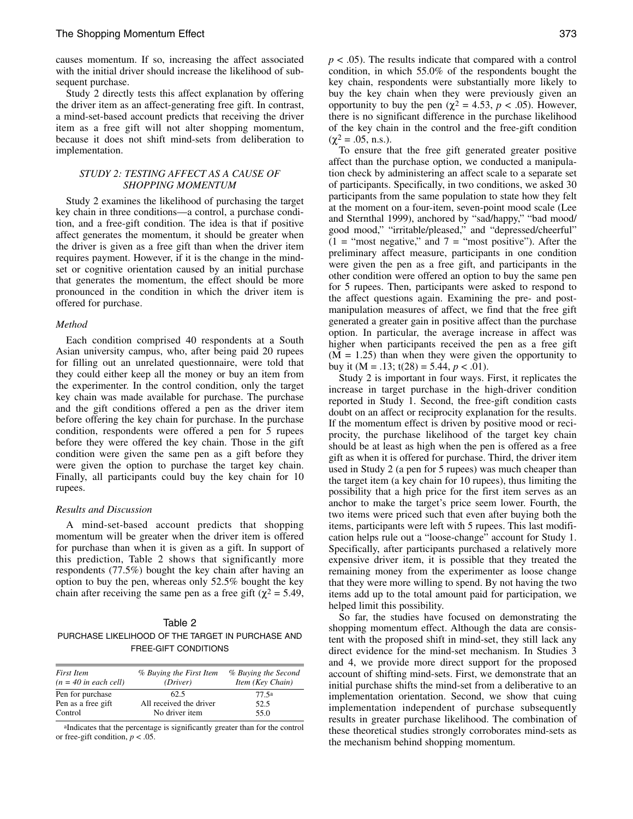causes momentum. If so, increasing the affect associated with the initial driver should increase the likelihood of subsequent purchase.

Study 2 directly tests this affect explanation by offering the driver item as an affect-generating free gift. In contrast, a mind-set-based account predicts that receiving the driver item as a free gift will not alter shopping momentum, because it does not shift mind-sets from deliberation to implementation.

#### *STUDY 2: TESTING AFFECT AS A CAUSE OF SHOPPING MOMENTUM*

Study 2 examines the likelihood of purchasing the target key chain in three conditions—a control, a purchase condition, and a free-gift condition. The idea is that if positive affect generates the momentum, it should be greater when the driver is given as a free gift than when the driver item requires payment. However, if it is the change in the mindset or cognitive orientation caused by an initial purchase that generates the momentum, the effect should be more pronounced in the condition in which the driver item is offered for purchase.

### *Method*

Each condition comprised 40 respondents at a South Asian university campus, who, after being paid 20 rupees for filling out an unrelated questionnaire, were told that they could either keep all the money or buy an item from the experimenter. In the control condition, only the target key chain was made available for purchase. The purchase and the gift conditions offered a pen as the driver item before offering the key chain for purchase. In the purchase condition, respondents were offered a pen for 5 rupees before they were offered the key chain. Those in the gift condition were given the same pen as a gift before they were given the option to purchase the target key chain. Finally, all participants could buy the key chain for 10 rupees.

#### *Results and Discussion*

A mind-set-based account predicts that shopping momentum will be greater when the driver item is offered for purchase than when it is given as a gift. In support of this prediction, Table 2 shows that significantly more respondents (77.5%) bought the key chain after having an option to buy the pen, whereas only 52.5% bought the key chain after receiving the same pen as a free gift ( $\chi^2$  = 5.49,

Table 2 PURCHASE LIKELIHOOD OF THE TARGET IN PURCHASE AND FREE-GIFT CONDITIONS

| <b>First Item</b><br>$(n = 40$ in each cell) | % Buying the First Item<br>(Driver) | % Buying the Second<br>Item (Key Chain) |
|----------------------------------------------|-------------------------------------|-----------------------------------------|
| Pen for purchase                             | 62.5                                | 77.5a                                   |
| Pen as a free gift                           | All received the driver             | 52.5                                    |
| Control                                      | No driver item                      | 55.0                                    |

aIndicates that the percentage is significantly greater than for the control or free-gift condition,  $p < .05$ .

*p* < .05). The results indicate that compared with a control condition, in which 55.0% of the respondents bought the key chain, respondents were substantially more likely to buy the key chain when they were previously given an opportunity to buy the pen ( $χ$ <sup>2</sup> = 4.53, *p* < .05). However, there is no significant difference in the purchase likelihood of the key chain in the control and the free-gift condition  $(\chi^2 = .05, n.s.).$ 

To ensure that the free gift generated greater positive affect than the purchase option, we conducted a manipulation check by administering an affect scale to a separate set of participants. Specifically, in two conditions, we asked 30 participants from the same population to state how they felt at the moment on a four-item, seven-point mood scale (Lee and Sternthal 1999), anchored by "sad/happy," "bad mood/ good mood," "irritable/pleased," and "depressed/cheerful"  $(1 = "most negative," and 7 = "most positive").$  After the preliminary affect measure, participants in one condition were given the pen as a free gift, and participants in the other condition were offered an option to buy the same pen for 5 rupees. Then, participants were asked to respond to the affect questions again. Examining the pre- and postmanipulation measures of affect, we find that the free gift generated a greater gain in positive affect than the purchase option. In particular, the average increase in affect was higher when participants received the pen as a free gift  $(M = 1.25)$  than when they were given the opportunity to buy it ( $M = .13$ ; t(28) = 5.44,  $p < .01$ ).

Study 2 is important in four ways. First, it replicates the increase in target purchase in the high-driver condition reported in Study 1. Second, the free-gift condition casts doubt on an affect or reciprocity explanation for the results. If the momentum effect is driven by positive mood or reciprocity, the purchase likelihood of the target key chain should be at least as high when the pen is offered as a free gift as when it is offered for purchase. Third, the driver item used in Study 2 (a pen for 5 rupees) was much cheaper than the target item (a key chain for 10 rupees), thus limiting the possibility that a high price for the first item serves as an anchor to make the target's price seem lower. Fourth, the two items were priced such that even after buying both the items, participants were left with 5 rupees. This last modification helps rule out a "loose-change" account for Study 1. Specifically, after participants purchased a relatively more expensive driver item, it is possible that they treated the remaining money from the experimenter as loose change that they were more willing to spend. By not having the two items add up to the total amount paid for participation, we helped limit this possibility.

So far, the studies have focused on demonstrating the shopping momentum effect. Although the data are consistent with the proposed shift in mind-set, they still lack any direct evidence for the mind-set mechanism. In Studies 3 and 4, we provide more direct support for the proposed account of shifting mind-sets. First, we demonstrate that an initial purchase shifts the mind-set from a deliberative to an implementation orientation. Second, we show that cuing implementation independent of purchase subsequently results in greater purchase likelihood. The combination of these theoretical studies strongly corroborates mind-sets as the mechanism behind shopping momentum.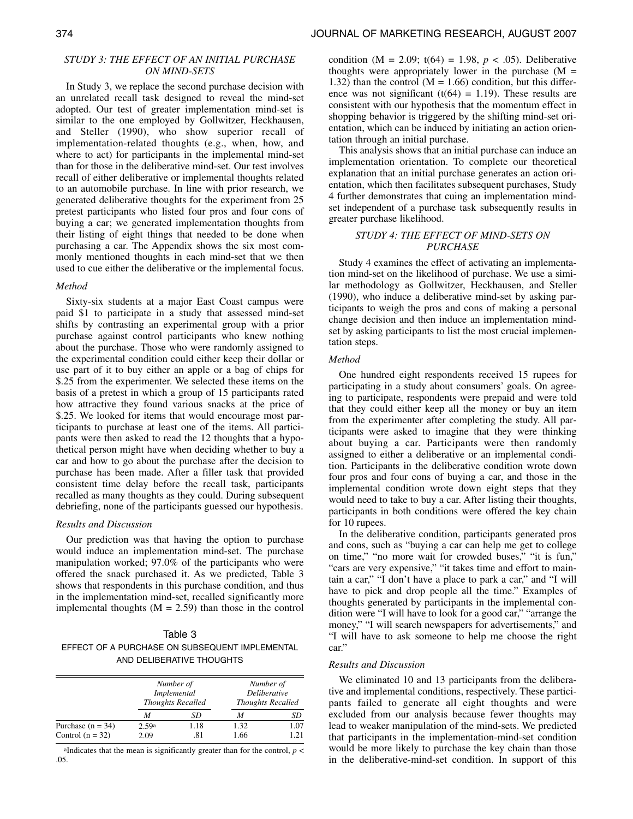## *STUDY 3: THE EFFECT OF AN INITIAL PURCHASE ON MIND-SETS*

In Study 3, we replace the second purchase decision with an unrelated recall task designed to reveal the mind-set adopted. Our test of greater implementation mind-set is similar to the one employed by Gollwitzer, Heckhausen, and Steller (1990), who show superior recall of implementation-related thoughts (e.g., when, how, and where to act) for participants in the implemental mind-set than for those in the deliberative mind-set. Our test involves recall of either deliberative or implemental thoughts related to an automobile purchase. In line with prior research, we generated deliberative thoughts for the experiment from 25 pretest participants who listed four pros and four cons of buying a car; we generated implementation thoughts from their listing of eight things that needed to be done when purchasing a car. The Appendix shows the six most commonly mentioned thoughts in each mind-set that we then used to cue either the deliberative or the implemental focus.

#### *Method*

Sixty-six students at a major East Coast campus were paid \$1 to participate in a study that assessed mind-set shifts by contrasting an experimental group with a prior purchase against control participants who knew nothing about the purchase. Those who were randomly assigned to the experimental condition could either keep their dollar or use part of it to buy either an apple or a bag of chips for \$.25 from the experimenter. We selected these items on the basis of a pretest in which a group of 15 participants rated how attractive they found various snacks at the price of \$.25. We looked for items that would encourage most participants to purchase at least one of the items. All participants were then asked to read the 12 thoughts that a hypothetical person might have when deciding whether to buy a car and how to go about the purchase after the decision to purchase has been made. After a filler task that provided consistent time delay before the recall task, participants recalled as many thoughts as they could. During subsequent debriefing, none of the participants guessed our hypothesis.

## *Results and Discussion*

Our prediction was that having the option to purchase would induce an implementation mind-set. The purchase manipulation worked; 97.0% of the participants who were offered the snack purchased it. As we predicted, Table 3 shows that respondents in this purchase condition, and thus in the implementation mind-set, recalled significantly more implemental thoughts  $(M = 2.59)$  than those in the control

| Table 3                                        |  |  |
|------------------------------------------------|--|--|
| EFFECT OF A PURCHASE ON SUBSEQUENT IMPLEMENTAL |  |  |
| AND DELIBERATIVE THOUGHTS                      |  |  |

|                     | Number of<br>Implemental<br><b>Thoughts Recalled</b> |      | Number of<br>Deliberative<br><b>Thoughts Recalled</b> |      |
|---------------------|------------------------------------------------------|------|-------------------------------------------------------|------|
|                     | M                                                    | SD   | M                                                     | SD   |
| Purchase $(n = 34)$ | 2.59a                                                | 1.18 | 1.32                                                  | 1.07 |
| Control $(n = 32)$  | 2.09                                                 | .81  | 1.66                                                  | 1.21 |

aIndicates that the mean is significantly greater than for the control,  $p <$ .05.

condition (M = 2.09;  $t(64) = 1.98$ ,  $p < .05$ ). Deliberative thoughts were appropriately lower in the purchase  $(M =$ 1.32) than the control  $(M = 1.66)$  condition, but this difference was not significant  $(t(64) = 1.19)$ . These results are consistent with our hypothesis that the momentum effect in shopping behavior is triggered by the shifting mind-set orientation, which can be induced by initiating an action orientation through an initial purchase.

This analysis shows that an initial purchase can induce an implementation orientation. To complete our theoretical explanation that an initial purchase generates an action orientation, which then facilitates subsequent purchases, Study 4 further demonstrates that cuing an implementation mindset independent of a purchase task subsequently results in greater purchase likelihood.

## *STUDY 4: THE EFFECT OF MIND-SETS ON PURCHASE*

Study 4 examines the effect of activating an implementation mind-set on the likelihood of purchase. We use a similar methodology as Gollwitzer, Heckhausen, and Steller (1990), who induce a deliberative mind-set by asking participants to weigh the pros and cons of making a personal change decision and then induce an implementation mindset by asking participants to list the most crucial implementation steps.

## *Method*

One hundred eight respondents received 15 rupees for participating in a study about consumers' goals. On agreeing to participate, respondents were prepaid and were told that they could either keep all the money or buy an item from the experimenter after completing the study. All participants were asked to imagine that they were thinking about buying a car. Participants were then randomly assigned to either a deliberative or an implemental condition. Participants in the deliberative condition wrote down four pros and four cons of buying a car, and those in the implemental condition wrote down eight steps that they would need to take to buy a car. After listing their thoughts, participants in both conditions were offered the key chain for 10 rupees.

In the deliberative condition, participants generated pros and cons, such as "buying a car can help me get to college on time," "no more wait for crowded buses," "it is fun," "cars are very expensive," "it takes time and effort to maintain a car," "I don't have a place to park a car," and "I will have to pick and drop people all the time." Examples of thoughts generated by participants in the implemental condition were "I will have to look for a good car," "arrange the money," "I will search newspapers for advertisements," and "I will have to ask someone to help me choose the right car."

#### *Results and Discussion*

We eliminated 10 and 13 participants from the deliberative and implemental conditions, respectively. These participants failed to generate all eight thoughts and were excluded from our analysis because fewer thoughts may lead to weaker manipulation of the mind-sets. We predicted that participants in the implementation-mind-set condition would be more likely to purchase the key chain than those in the deliberative-mind-set condition. In support of this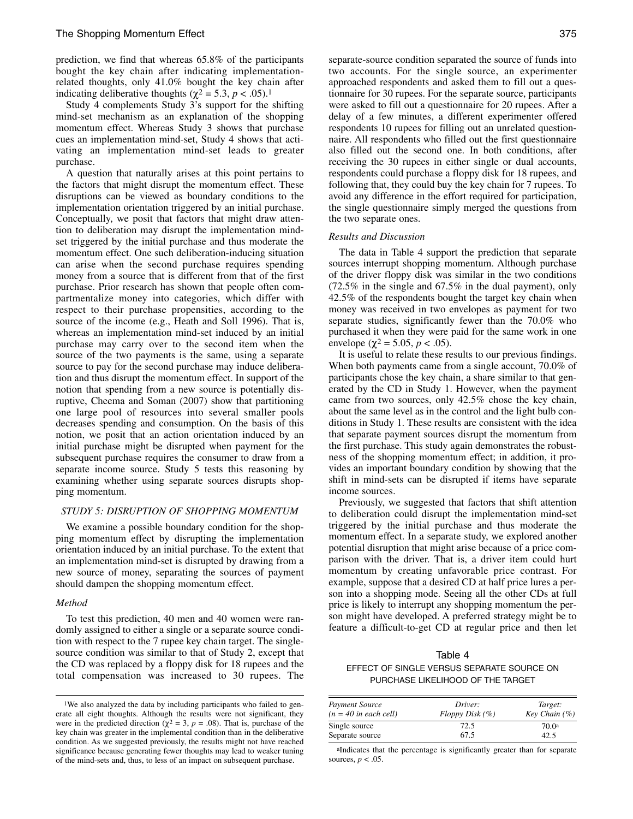prediction, we find that whereas 65.8% of the participants bought the key chain after indicating implementationrelated thoughts, only 41.0% bought the key chain after indicating deliberative thoughts ( $\chi^2$  = 5.3, *p* < .05).<sup>1</sup>

Study 4 complements Study 3's support for the shifting mind-set mechanism as an explanation of the shopping momentum effect. Whereas Study 3 shows that purchase cues an implementation mind-set, Study 4 shows that activating an implementation mind-set leads to greater purchase.

A question that naturally arises at this point pertains to the factors that might disrupt the momentum effect. These disruptions can be viewed as boundary conditions to the implementation orientation triggered by an initial purchase. Conceptually, we posit that factors that might draw attention to deliberation may disrupt the implementation mindset triggered by the initial purchase and thus moderate the momentum effect. One such deliberation-inducing situation can arise when the second purchase requires spending money from a source that is different from that of the first purchase. Prior research has shown that people often compartmentalize money into categories, which differ with respect to their purchase propensities, according to the source of the income (e.g., Heath and Soll 1996). That is, whereas an implementation mind-set induced by an initial purchase may carry over to the second item when the source of the two payments is the same, using a separate source to pay for the second purchase may induce deliberation and thus disrupt the momentum effect. In support of the notion that spending from a new source is potentially disruptive, Cheema and Soman (2007) show that partitioning one large pool of resources into several smaller pools decreases spending and consumption. On the basis of this notion, we posit that an action orientation induced by an initial purchase might be disrupted when payment for the subsequent purchase requires the consumer to draw from a separate income source. Study 5 tests this reasoning by examining whether using separate sources disrupts shopping momentum.

## *STUDY 5: DISRUPTION OF SHOPPING MOMENTUM*

We examine a possible boundary condition for the shopping momentum effect by disrupting the implementation orientation induced by an initial purchase. To the extent that an implementation mind-set is disrupted by drawing from a new source of money, separating the sources of payment should dampen the shopping momentum effect.

## *Method*

To test this prediction, 40 men and 40 women were randomly assigned to either a single or a separate source condition with respect to the 7 rupee key chain target. The singlesource condition was similar to that of Study 2, except that the CD was replaced by a floppy disk for 18 rupees and the total compensation was increased to 30 rupees. The

separate-source condition separated the source of funds into two accounts. For the single source, an experimenter approached respondents and asked them to fill out a questionnaire for 30 rupees. For the separate source, participants were asked to fill out a questionnaire for 20 rupees. After a delay of a few minutes, a different experimenter offered respondents 10 rupees for filling out an unrelated questionnaire. All respondents who filled out the first questionnaire also filled out the second one. In both conditions, after receiving the 30 rupees in either single or dual accounts, respondents could purchase a floppy disk for 18 rupees, and following that, they could buy the key chain for 7 rupees. To avoid any difference in the effort required for participation, the single questionnaire simply merged the questions from the two separate ones.

#### *Results and Discussion*

The data in Table 4 support the prediction that separate sources interrupt shopping momentum. Although purchase of the driver floppy disk was similar in the two conditions (72.5% in the single and 67.5% in the dual payment), only 42.5% of the respondents bought the target key chain when money was received in two envelopes as payment for two separate studies, significantly fewer than the 70.0% who purchased it when they were paid for the same work in one envelope ( $\chi^2$  = 5.05, *p* < .05).

It is useful to relate these results to our previous findings. When both payments came from a single account, 70.0% of participants chose the key chain, a share similar to that generated by the CD in Study 1. However, when the payment came from two sources, only 42.5% chose the key chain, about the same level as in the control and the light bulb conditions in Study 1. These results are consistent with the idea that separate payment sources disrupt the momentum from the first purchase. This study again demonstrates the robustness of the shopping momentum effect; in addition, it provides an important boundary condition by showing that the shift in mind-sets can be disrupted if items have separate income sources.

Previously, we suggested that factors that shift attention to deliberation could disrupt the implementation mind-set triggered by the initial purchase and thus moderate the momentum effect. In a separate study, we explored another potential disruption that might arise because of a price comparison with the driver. That is, a driver item could hurt momentum by creating unfavorable price contrast. For example, suppose that a desired CD at half price lures a person into a shopping mode. Seeing all the other CDs at full price is likely to interrupt any shopping momentum the person might have developed. A preferred strategy might be to feature a difficult-to-get CD at regular price and then let

Table 4 EFFECT OF SINGLE VERSUS SEPARATE SOURCE ON PURCHASE LIKELIHOOD OF THE TARGET

| Payment Source          | Driver:              | Target:           |
|-------------------------|----------------------|-------------------|
| $(n = 40$ in each cell) | $Floppy$ Disk $(\%)$ | Key Chain $(\% )$ |
| Single source           | 72.5                 | 70.0 <sup>a</sup> |
| Separate source         | 67.5                 | 42.5              |

aIndicates that the percentage is significantly greater than for separate sources,  $p < .05$ .

<sup>&</sup>lt;sup>1</sup>We also analyzed the data by including participants who failed to generate all eight thoughts. Although the results were not significant, they were in the predicted direction ( $\chi^2 = 3$ ,  $p = .08$ ). That is, purchase of the key chain was greater in the implemental condition than in the deliberative condition. As we suggested previously, the results might not have reached significance because generating fewer thoughts may lead to weaker tuning of the mind-sets and, thus, to less of an impact on subsequent purchase.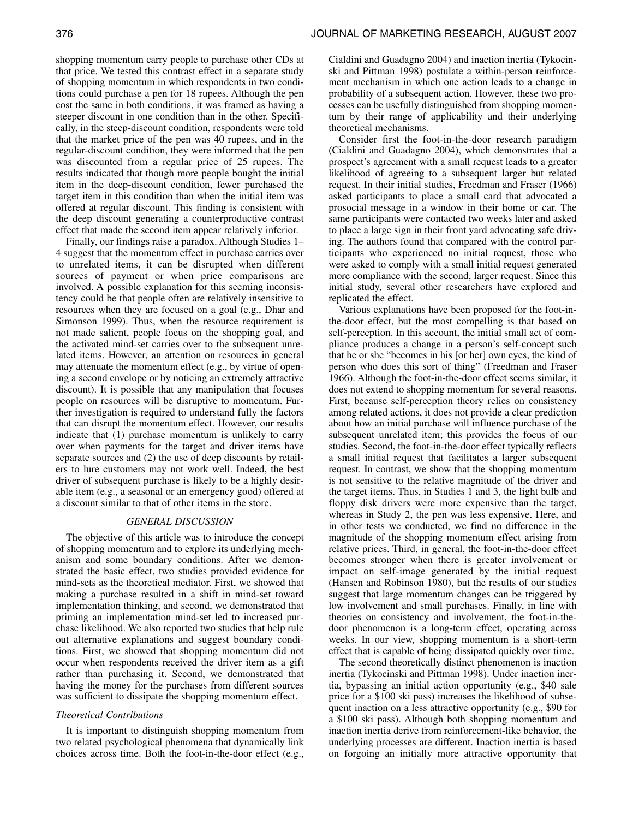shopping momentum carry people to purchase other CDs at that price. We tested this contrast effect in a separate study of shopping momentum in which respondents in two conditions could purchase a pen for 18 rupees. Although the pen cost the same in both conditions, it was framed as having a steeper discount in one condition than in the other. Specifically, in the steep-discount condition, respondents were told that the market price of the pen was 40 rupees, and in the regular-discount condition, they were informed that the pen was discounted from a regular price of 25 rupees. The results indicated that though more people bought the initial item in the deep-discount condition, fewer purchased the target item in this condition than when the initial item was offered at regular discount. This finding is consistent with the deep discount generating a counterproductive contrast effect that made the second item appear relatively inferior.

Finally, our findings raise a paradox. Although Studies 1– 4 suggest that the momentum effect in purchase carries over to unrelated items, it can be disrupted when different sources of payment or when price comparisons are involved. A possible explanation for this seeming inconsistency could be that people often are relatively insensitive to resources when they are focused on a goal (e.g., Dhar and Simonson 1999). Thus, when the resource requirement is not made salient, people focus on the shopping goal, and the activated mind-set carries over to the subsequent unrelated items. However, an attention on resources in general may attenuate the momentum effect (e.g., by virtue of opening a second envelope or by noticing an extremely attractive discount). It is possible that any manipulation that focuses people on resources will be disruptive to momentum. Further investigation is required to understand fully the factors that can disrupt the momentum effect. However, our results indicate that (1) purchase momentum is unlikely to carry over when payments for the target and driver items have separate sources and (2) the use of deep discounts by retailers to lure customers may not work well. Indeed, the best driver of subsequent purchase is likely to be a highly desirable item (e.g., a seasonal or an emergency good) offered at a discount similar to that of other items in the store.

## *GENERAL DISCUSSION*

The objective of this article was to introduce the concept of shopping momentum and to explore its underlying mechanism and some boundary conditions. After we demonstrated the basic effect, two studies provided evidence for mind-sets as the theoretical mediator. First, we showed that making a purchase resulted in a shift in mind-set toward implementation thinking, and second, we demonstrated that priming an implementation mind-set led to increased purchase likelihood. We also reported two studies that help rule out alternative explanations and suggest boundary conditions. First, we showed that shopping momentum did not occur when respondents received the driver item as a gift rather than purchasing it. Second, we demonstrated that having the money for the purchases from different sources was sufficient to dissipate the shopping momentum effect.

#### *Theoretical Contributions*

It is important to distinguish shopping momentum from two related psychological phenomena that dynamically link choices across time. Both the foot-in-the-door effect (e.g.,

Cialdini and Guadagno 2004) and inaction inertia (Tykocinski and Pittman 1998) postulate a within-person reinforcement mechanism in which one action leads to a change in probability of a subsequent action. However, these two processes can be usefully distinguished from shopping momentum by their range of applicability and their underlying theoretical mechanisms.

Consider first the foot-in-the-door research paradigm (Cialdini and Guadagno 2004), which demonstrates that a prospect's agreement with a small request leads to a greater likelihood of agreeing to a subsequent larger but related request. In their initial studies, Freedman and Fraser (1966) asked participants to place a small card that advocated a prosocial message in a window in their home or car. The same participants were contacted two weeks later and asked to place a large sign in their front yard advocating safe driving. The authors found that compared with the control participants who experienced no initial request, those who were asked to comply with a small initial request generated more compliance with the second, larger request. Since this initial study, several other researchers have explored and replicated the effect.

Various explanations have been proposed for the foot-inthe-door effect, but the most compelling is that based on self-perception. In this account, the initial small act of compliance produces a change in a person's self-concept such that he or she "becomes in his [or her] own eyes, the kind of person who does this sort of thing" (Freedman and Fraser 1966). Although the foot-in-the-door effect seems similar, it does not extend to shopping momentum for several reasons. First, because self-perception theory relies on consistency among related actions, it does not provide a clear prediction about how an initial purchase will influence purchase of the subsequent unrelated item; this provides the focus of our studies. Second, the foot-in-the-door effect typically reflects a small initial request that facilitates a larger subsequent request. In contrast, we show that the shopping momentum is not sensitive to the relative magnitude of the driver and the target items. Thus, in Studies 1 and 3, the light bulb and floppy disk drivers were more expensive than the target, whereas in Study 2, the pen was less expensive. Here, and in other tests we conducted, we find no difference in the magnitude of the shopping momentum effect arising from relative prices. Third, in general, the foot-in-the-door effect becomes stronger when there is greater involvement or impact on self-image generated by the initial request (Hansen and Robinson 1980), but the results of our studies suggest that large momentum changes can be triggered by low involvement and small purchases. Finally, in line with theories on consistency and involvement, the foot-in-thedoor phenomenon is a long-term effect, operating across weeks. In our view, shopping momentum is a short-term effect that is capable of being dissipated quickly over time.

The second theoretically distinct phenomenon is inaction inertia (Tykocinski and Pittman 1998). Under inaction inertia, bypassing an initial action opportunity (e.g., \$40 sale price for a \$100 ski pass) increases the likelihood of subsequent inaction on a less attractive opportunity (e.g., \$90 for a \$100 ski pass). Although both shopping momentum and inaction inertia derive from reinforcement-like behavior, the underlying processes are different. Inaction inertia is based on forgoing an initially more attractive opportunity that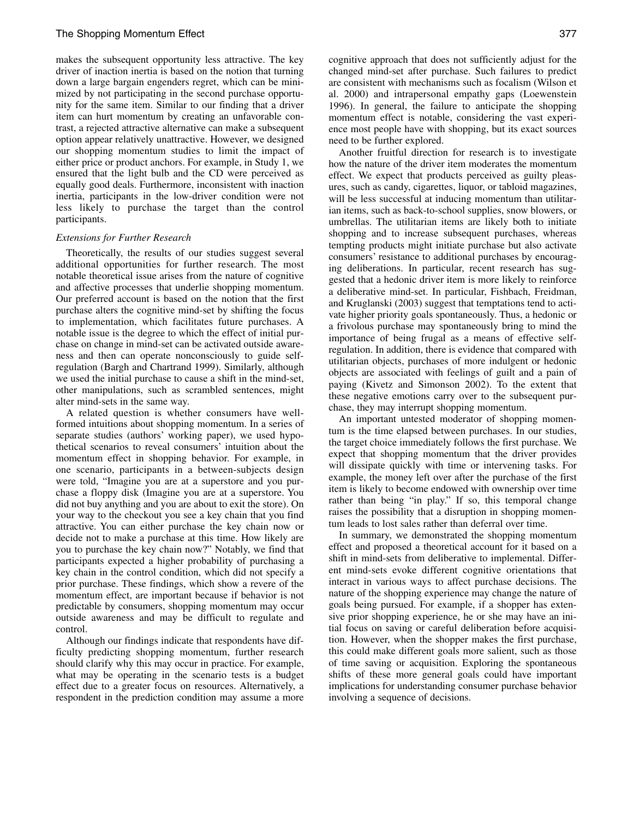makes the subsequent opportunity less attractive. The key driver of inaction inertia is based on the notion that turning down a large bargain engenders regret, which can be minimized by not participating in the second purchase opportunity for the same item. Similar to our finding that a driver item can hurt momentum by creating an unfavorable contrast, a rejected attractive alternative can make a subsequent option appear relatively unattractive. However, we designed our shopping momentum studies to limit the impact of either price or product anchors. For example, in Study 1, we ensured that the light bulb and the CD were perceived as equally good deals. Furthermore, inconsistent with inaction inertia, participants in the low-driver condition were not less likely to purchase the target than the control participants.

#### *Extensions for Further Research*

Theoretically, the results of our studies suggest several additional opportunities for further research. The most notable theoretical issue arises from the nature of cognitive and affective processes that underlie shopping momentum. Our preferred account is based on the notion that the first purchase alters the cognitive mind-set by shifting the focus to implementation, which facilitates future purchases. A notable issue is the degree to which the effect of initial purchase on change in mind-set can be activated outside awareness and then can operate nonconsciously to guide selfregulation (Bargh and Chartrand 1999). Similarly, although we used the initial purchase to cause a shift in the mind-set, other manipulations, such as scrambled sentences, might alter mind-sets in the same way.

A related question is whether consumers have wellformed intuitions about shopping momentum. In a series of separate studies (authors' working paper), we used hypothetical scenarios to reveal consumers' intuition about the momentum effect in shopping behavior. For example, in one scenario, participants in a between-subjects design were told, "Imagine you are at a superstore and you purchase a floppy disk (Imagine you are at a superstore. You did not buy anything and you are about to exit the store). On your way to the checkout you see a key chain that you find attractive. You can either purchase the key chain now or decide not to make a purchase at this time. How likely are you to purchase the key chain now?" Notably, we find that participants expected a higher probability of purchasing a key chain in the control condition, which did not specify a prior purchase. These findings, which show a revere of the momentum effect, are important because if behavior is not predictable by consumers, shopping momentum may occur outside awareness and may be difficult to regulate and control.

Although our findings indicate that respondents have difficulty predicting shopping momentum, further research should clarify why this may occur in practice. For example, what may be operating in the scenario tests is a budget effect due to a greater focus on resources. Alternatively, a respondent in the prediction condition may assume a more

cognitive approach that does not sufficiently adjust for the changed mind-set after purchase. Such failures to predict are consistent with mechanisms such as focalism (Wilson et al. 2000) and intrapersonal empathy gaps (Loewenstein 1996). In general, the failure to anticipate the shopping momentum effect is notable, considering the vast experience most people have with shopping, but its exact sources need to be further explored.

Another fruitful direction for research is to investigate how the nature of the driver item moderates the momentum effect. We expect that products perceived as guilty pleasures, such as candy, cigarettes, liquor, or tabloid magazines, will be less successful at inducing momentum than utilitarian items, such as back-to-school supplies, snow blowers, or umbrellas. The utilitarian items are likely both to initiate shopping and to increase subsequent purchases, whereas tempting products might initiate purchase but also activate consumers' resistance to additional purchases by encouraging deliberations. In particular, recent research has suggested that a hedonic driver item is more likely to reinforce a deliberative mind-set. In particular, Fishbach, Freidman, and Kruglanski (2003) suggest that temptations tend to activate higher priority goals spontaneously. Thus, a hedonic or a frivolous purchase may spontaneously bring to mind the importance of being frugal as a means of effective selfregulation. In addition, there is evidence that compared with utilitarian objects, purchases of more indulgent or hedonic objects are associated with feelings of guilt and a pain of paying (Kivetz and Simonson 2002). To the extent that these negative emotions carry over to the subsequent purchase, they may interrupt shopping momentum.

An important untested moderator of shopping momentum is the time elapsed between purchases. In our studies, the target choice immediately follows the first purchase. We expect that shopping momentum that the driver provides will dissipate quickly with time or intervening tasks. For example, the money left over after the purchase of the first item is likely to become endowed with ownership over time rather than being "in play." If so, this temporal change raises the possibility that a disruption in shopping momentum leads to lost sales rather than deferral over time.

In summary, we demonstrated the shopping momentum effect and proposed a theoretical account for it based on a shift in mind-sets from deliberative to implemental. Different mind-sets evoke different cognitive orientations that interact in various ways to affect purchase decisions. The nature of the shopping experience may change the nature of goals being pursued. For example, if a shopper has extensive prior shopping experience, he or she may have an initial focus on saving or careful deliberation before acquisition. However, when the shopper makes the first purchase, this could make different goals more salient, such as those of time saving or acquisition. Exploring the spontaneous shifts of these more general goals could have important implications for understanding consumer purchase behavior involving a sequence of decisions.